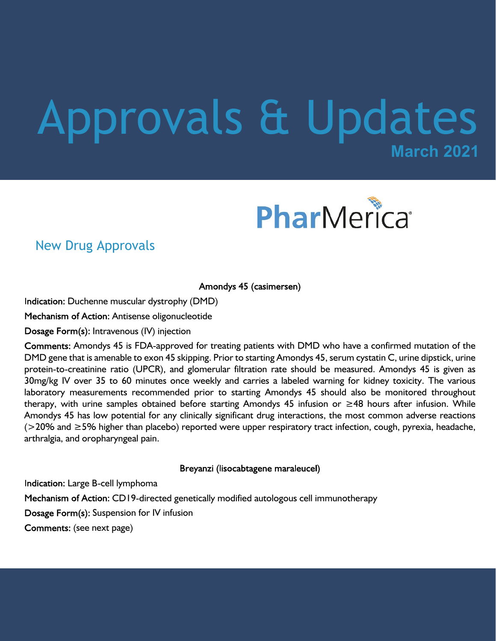# **March 2021** Approvals & Updates



### New Drug Approvals

Amondys 45 (casimersen)

Indication: Duchenne muscular dystrophy (DMD)

Mechanism of Action: Antisense oligonucleotide

Dosage Form(s): Intravenous (IV) injection

Comments: Amondys 45 is FDA-approved for treating patients with DMD who have a confirmed mutation of the DMD gene that is amenable to exon 45 skipping. Prior to starting Amondys 45, serum cystatin C, urine dipstick, urine protein-to-creatinine ratio (UPCR), and glomerular filtration rate should be measured. Amondys 45 is given as 30mg/kg IV over 35 to 60 minutes once weekly and carries a labeled warning for kidney toxicity. The various laboratory measurements recommended prior to starting Amondys 45 should also be monitored throughout therapy, with urine samples obtained before starting Amondys 45 infusion or ≥48 hours after infusion. While Amondys 45 has low potential for any clinically significant drug interactions, the most common adverse reactions (>20% and ≥5% higher than placebo) reported were upper respiratory tract infection, cough, pyrexia, headache, arthralgia, and oropharyngeal pain.

Breyanzi (lisocabtagene maraleucel)

Indication: Large B-cell lymphoma Mechanism of Action: CD19-directed genetically modified autologous cell immunotherapy Dosage Form(s): Suspension for IV infusion Comments: (see next page)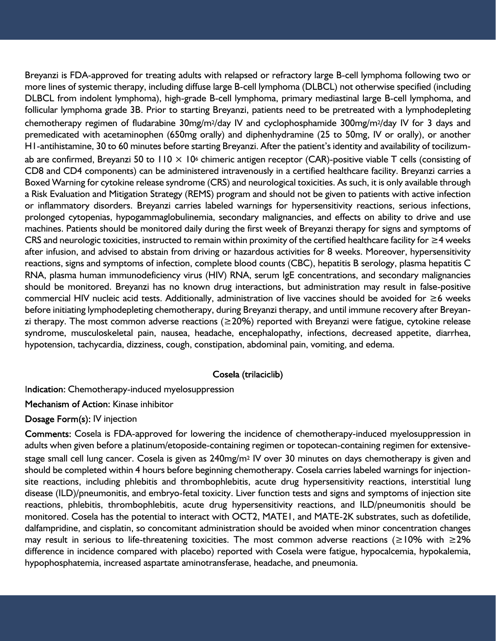Breyanzi is FDA-approved for treating adults with relapsed or refractory large B-cell lymphoma following two or more lines of systemic therapy, including diffuse large B-cell lymphoma (DLBCL) not otherwise specified (including DLBCL from indolent lymphoma), high-grade B-cell lymphoma, primary mediastinal large B-cell lymphoma, and follicular lymphoma grade 3B. Prior to starting Breyanzi, patients need to be pretreated with a lymphodepleting chemotherapy regimen of fludarabine 30mg/m<sup>2</sup>/day IV and cyclophosphamide 300mg/m<sup>2</sup>/day IV for 3 days and premedicated with acetaminophen (650mg orally) and diphenhydramine (25 to 50mg, IV or orally), or another H1-antihistamine, 30 to 60 minutes before starting Breyanzi. After the patient's identity and availability of tocilizumab are confirmed, Breyanzi 50 to 110  $\times$  10<sup>6</sup> chimeric antigen receptor (CAR)-positive viable T cells (consisting of CD8 and CD4 components) can be administered intravenously in a certified healthcare facility. Breyanzi carries a Boxed Warning for cytokine release syndrome (CRS) and neurological toxicities. As such, it is only available through a Risk Evaluation and Mitigation Strategy (REMS) program and should not be given to patients with active infection or inflammatory disorders. Breyanzi carries labeled warnings for hypersensitivity reactions, serious infections, prolonged cytopenias, hypogammaglobulinemia, secondary malignancies, and effects on ability to drive and use machines. Patients should be monitored daily during the first week of Breyanzi therapy for signs and symptoms of CRS and neurologic toxicities, instructed to remain within proximity of the certified healthcare facility for ≥4 weeks after infusion, and advised to abstain from driving or hazardous activities for 8 weeks. Moreover, hypersensitivity reactions, signs and symptoms of infection, complete blood counts (CBC), hepatitis B serology, plasma hepatitis C RNA, plasma human immunodeficiency virus (HIV) RNA, serum IgE concentrations, and secondary malignancies should be monitored. Breyanzi has no known drug interactions, but administration may result in false-positive commercial HIV nucleic acid tests. Additionally, administration of live vaccines should be avoided for ≥6 weeks before initiating lymphodepleting chemotherapy, during Breyanzi therapy, and until immune recovery after Breyanzi therapy. The most common adverse reactions (≥20%) reported with Breyanzi were fatigue, cytokine release syndrome, musculoskeletal pain, nausea, headache, encephalopathy, infections, decreased appetite, diarrhea, hypotension, tachycardia, dizziness, cough, constipation, abdominal pain, vomiting, and edema.

#### Cosela (trilaciclib)

Indication: Chemotherapy-induced myelosuppression

Mechanism of Action: Kinase inhibitor

Dosage Form(s): IV injection

Comments: Cosela is FDA-approved for lowering the incidence of chemotherapy-induced myelosuppression in adults when given before a platinum/etoposide-containing regimen or topotecan-containing regimen for extensivestage small cell lung cancer. Cosela is given as 240mg/m2 IV over 30 minutes on days chemotherapy is given and should be completed within 4 hours before beginning chemotherapy. Cosela carries labeled warnings for injectionsite reactions, including phlebitis and thrombophlebitis, acute drug hypersensitivity reactions, interstitial lung disease (ILD)/pneumonitis, and embryo-fetal toxicity. Liver function tests and signs and symptoms of injection site reactions, phlebitis, thrombophlebitis, acute drug hypersensitivity reactions, and ILD/pneumonitis should be monitored. Cosela has the potential to interact with OCT2, MATE1, and MATE-2K substrates, such as dofetilide, dalfampridine, and cisplatin, so concomitant administration should be avoided when minor concentration changes may result in serious to life-threatening toxicities. The most common adverse reactions (≥10% with ≥2% difference in incidence compared with placebo) reported with Cosela were fatigue, hypocalcemia, hypokalemia, hypophosphatemia, increased aspartate aminotransferase, headache, and pneumonia.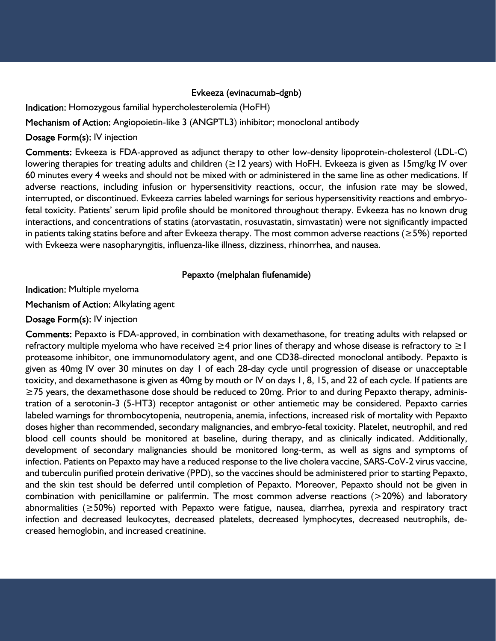#### Evkeeza (evinacumab-dgnb)

Indication: Homozygous familial hypercholesterolemia (HoFH)

Mechanism of Action: Angiopoietin-like 3 (ANGPTL3) inhibitor; monoclonal antibody

Dosage Form(s): IV injection

Comments: Evkeeza is FDA-approved as adjunct therapy to other low-density lipoprotein-cholesterol (LDL-C) lowering therapies for treating adults and children ( $\geq$ 12 years) with HoFH. Evkeeza is given as 15mg/kg IV over 60 minutes every 4 weeks and should not be mixed with or administered in the same line as other medications. If adverse reactions, including infusion or hypersensitivity reactions, occur, the infusion rate may be slowed, interrupted, or discontinued. Evkeeza carries labeled warnings for serious hypersensitivity reactions and embryofetal toxicity. Patients' serum lipid profile should be monitored throughout therapy. Evkeeza has no known drug interactions, and concentrations of statins (atorvastatin, rosuvastatin, simvastatin) were not significantly impacted in patients taking statins before and after Evkeeza therapy. The most common adverse reactions (≥5%) reported with Evkeeza were nasopharyngitis, influenza-like illness, dizziness, rhinorrhea, and nausea.

#### Pepaxto (melphalan flufenamide)

Indication: Multiple myeloma

Mechanism of Action: Alkylating agent

#### Dosage Form(s): IV injection

Comments: Pepaxto is FDA-approved, in combination with dexamethasone, for treating adults with relapsed or refractory multiple myeloma who have received  $\geq 4$  prior lines of therapy and whose disease is refractory to  $\geq 1$ proteasome inhibitor, one immunomodulatory agent, and one CD38-directed monoclonal antibody. Pepaxto is given as 40mg IV over 30 minutes on day 1 of each 28-day cycle until progression of disease or unacceptable toxicity, and dexamethasone is given as 40mg by mouth or IV on days 1, 8, 15, and 22 of each cycle. If patients are ≥75 years, the dexamethasone dose should be reduced to 20mg. Prior to and during Pepaxto therapy, administration of a serotonin-3 (5-HT3) receptor antagonist or other antiemetic may be considered. Pepaxto carries labeled warnings for thrombocytopenia, neutropenia, anemia, infections, increased risk of mortality with Pepaxto doses higher than recommended, secondary malignancies, and embryo-fetal toxicity. Platelet, neutrophil, and red blood cell counts should be monitored at baseline, during therapy, and as clinically indicated. Additionally, development of secondary malignancies should be monitored long-term, as well as signs and symptoms of infection. Patients on Pepaxto may have a reduced response to the live cholera vaccine, SARS-CoV-2 virus vaccine, and tuberculin purified protein derivative (PPD), so the vaccines should be administered prior to starting Pepaxto, and the skin test should be deferred until completion of Pepaxto. Moreover, Pepaxto should not be given in combination with penicillamine or palifermin. The most common adverse reactions (>20%) and laboratory abnormalities (≥50%) reported with Pepaxto were fatigue, nausea, diarrhea, pyrexia and respiratory tract infection and decreased leukocytes, decreased platelets, decreased lymphocytes, decreased neutrophils, decreased hemoglobin, and increased creatinine.